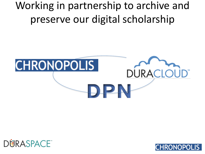Working in partnership to archive and preserve our digital scholarship





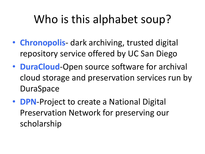# Who is this alphabet soup?

- **Chronopolis** dark archiving, trusted digital repository service offered by UC San Diego
- **DuraCloud**-Open source software for archival cloud storage and preservation services run by **DuraSpace**
- **DPN**-Project to create a National Digital Preservation Network for preserving our scholarship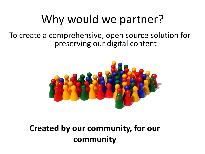## Why would we partner?

To create a comprehensive, open source solution for preserving our digital content



**Created by our community, for our community**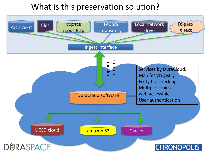### What is this preservation solution?

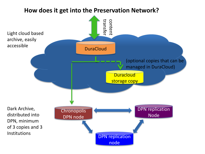#### **How does it get into the Preservation Network?**

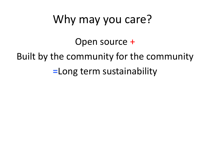## Why may you care?

Open source +

Built by the community for the community

**=**Long term sustainability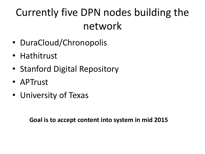## Currently five DPN nodes building the network

- DuraCloud/Chronopolis
- Hathitrust
- Stanford Digital Repository
- APTrust
- University of Texas

**Goal is to accept content into system in mid 2015**